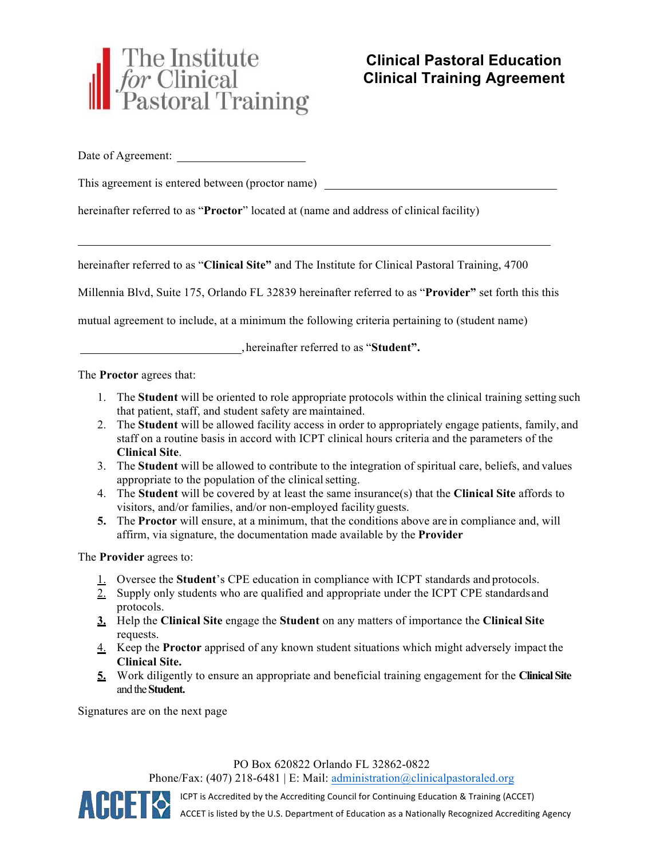

Date of Agreement:

This agreement is entered between (proctor name)

hereinafter referred to as "**Proctor**" located at (name and address of clinical facility)

hereinafter referred to as "**Clinical Site"** and The Institute for Clinical Pastoral Training, 4700

Millennia Blvd, Suite 175, Orlando FL 32839 hereinafter referred to as "**Provider"** set forth this this

mutual agreement to include, at a minimum the following criteria pertaining to (student name)

, hereinafter referred to as "**Student".**

The **Proctor** agrees that:

- 1. The **Student** will be oriented to role appropriate protocols within the clinical training setting such that patient, staff, and student safety are maintained.
- 2. The **Student** will be allowed facility access in order to appropriately engage patients, family, and staff on a routine basis in accord with ICPT clinical hours criteria and the parameters of the **Clinical Site**.
- 3. The **Student** will be allowed to contribute to the integration of spiritual care, beliefs, and values appropriate to the population of the clinical setting.
- 4. The **Student** will be covered by at least the same insurance(s) that the **Clinical Site** affords to visitors, and/or families, and/or non-employed facility guests.
- **5.** The **Proctor** will ensure, at a minimum, that the conditions above are in compliance and, will affirm, via signature, the documentation made available by the **Provider**

The **Provider** agrees to:

- 1. Oversee the **Student**'s CPE education in compliance with ICPT standards and protocols.
- 2. Supply only students who are qualified and appropriate under the ICPT CPE standards and protocols.
- **3.** Help the **Clinical Site** engage the **Student** on any matters of importance the **Clinical Site** requests.
- 4. Keep the **Proctor** apprised of any known student situations which might adversely impact the **Clinical Site.**
- **5.** Work diligently to ensure an appropriate and beneficial training engagement for the **ClinicalSite** and the**Student.**

Signatures are on the next page

PO Box 620822 Orlando FL 32862-0822

Phone/Fax: (407) 218-6481 | E: Mail: administration@clinicalpastoraled.org